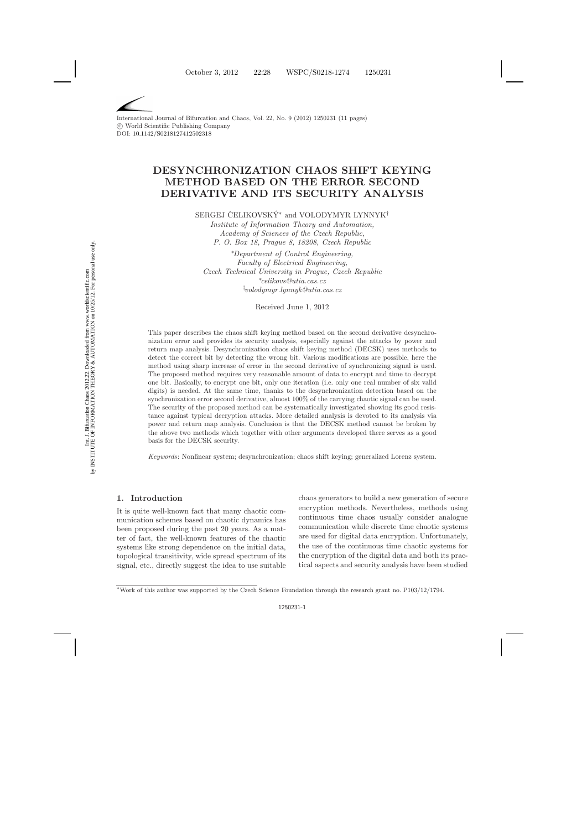# **DESYNCHRONIZATION CHAOS SHIFT KEYING METHOD BASED ON THE ERROR SECOND DERIVATIVE AND ITS SECURITY ANALYSIS**

SERGEJ ČELIKOVSKÝ<sup>\*</sup> and VOLODYMYR LYNNYK<sup>†</sup>

*Institute of Information Theory and Automation, Academy of Sciences of the Czech Republic, P. O. Box 18, Prague 8, 18208, Czech Republic*

∗ *Department of Control Engineering, Faculty of Electrical Engineering, Czech Technical University in Prague, Czech Republic* ∗ *celikovs@utia.cas.cz* † *volodymyr.lynnyk@utia.cas.cz*

Received June 1, 2012

This paper describes the chaos shift keying method based on the second derivative desynchronization error and provides its security analysis, especially against the attacks by power and return map analysis. Desynchronization chaos shift keying method (DECSK) uses methods to detect the correct bit by detecting the wrong bit. Various modifications are possible, here the method using sharp increase of error in the second derivative of synchronizing signal is used. The proposed method requires very reasonable amount of data to encrypt and time to decrypt one bit. Basically, to encrypt one bit, only one iteration (i.e. only one real number of six valid digits) is needed. At the same time, thanks to the desynchronization detection based on the synchronization error second derivative, almost 100% of the carrying chaotic signal can be used. The security of the proposed method can be systematically investigated showing its good resistance against typical decryption attacks. More detailed analysis is devoted to its analysis via power and return map analysis. Conclusion is that the DECSK method cannot be broken by the above two methods which together with other arguments developed there serves as a good basis for the DECSK security.

*Keywords*: Nonlinear system; desynchronization; chaos shift keying; generalized Lorenz system.

# **1. Introduction**

It is quite well-known fact that many chaotic communication schemes based on chaotic dynamics has been proposed during the past 20 years. As a matter of fact, the well-known features of the chaotic systems like strong dependence on the initial data, topological transitivity, wide spread spectrum of its signal, etc., directly suggest the idea to use suitable chaos generators to build a new generation of secure encryption methods. Nevertheless, methods using continuous time chaos usually consider analogue communication while discrete time chaotic systems are used for digital data encryption. Unfortunately, the use of the continuous time chaotic systems for the encryption of the digital data and both its practical aspects and security analysis have been studied

<sup>∗</sup>Work of this author was supported by the Czech Science Foundation through the research grant no. P103/12/1794.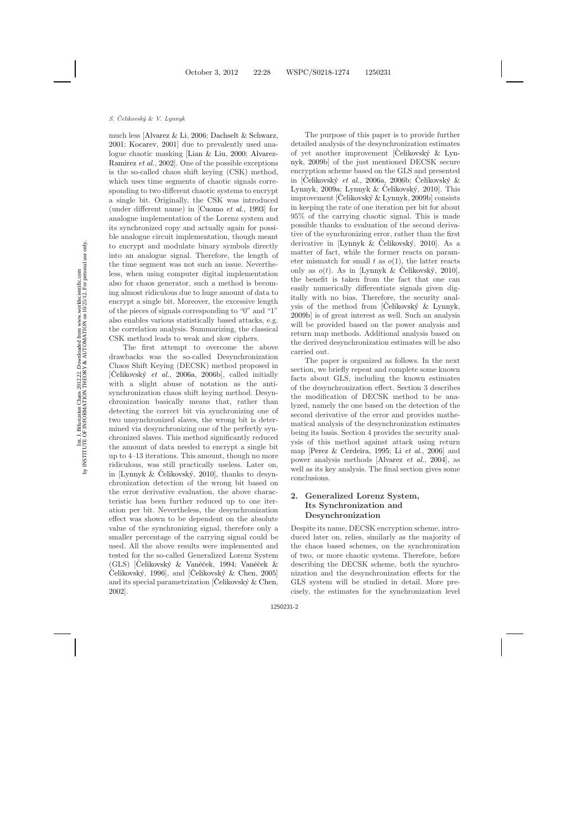much less [\[Alvarez & Li,](#page-10-0) [2006;](#page-10-0) [Dachselt & Schwarz](#page-10-1), [2001;](#page-10-1) [Kocarev,](#page-10-2) [2001\]](#page-10-2) due to prevalently used analogue chaotic [masking \[](#page-10-4)[Lian](#page-10-3)[&](#page-10-3)[Liu](#page-10-3)[,](#page-10-4) [2000](#page-10-3); Alvarez-Ramirez *et al.*, [2002](#page-10-4)]. One of the possible exceptions is the so-called chaos shift keying (CSK) method, which uses time segments of chaotic signals corresponding to two different chaotic systems to encrypt a single bit. Originally, the CSK was introduced (under different name) in [\[Cuomo](#page-10-5) *et al.*, [1993\]](#page-10-5) for analogue implementation of the Lorenz system and its synchronized copy and actually again for possible analogue circuit implementation, though meant to encrypt and modulate binary symbols directly into an analogue signal. Therefore, the length of the time segment was not such an issue. Nevertheless, when using computer digital implementation also for chaos generator, such a method is becoming almost ridiculous due to huge amount of data to encrypt a single bit. Moreover, the excessive length of the pieces of signals corresponding to "0" and "1" also enables various statistically based attacks, e.g. the correlation analysis. Summarizing, the classical CSK method leads to weak and slow ciphers.

The first attempt to overcome the above drawbacks was the so-called Desynchronization Chaos Shift Keying (DECSK) method proposed in [Celikovský *et al.*, [2006a,](#page-10-6) [2006b\]](#page-10-7), called initially with a slight abuse of notation as the antisynchronization chaos shift keying method. Desynchronization basically means that, rather than detecting the correct bit via synchronizing one of two unsynchronized slaves, the wrong bit is determined via desynchronizing one of the perfectly synchronized slaves. This method significantly reduced the amount of data needed to encrypt a single bit up to 4–13 iterations. This amount, though no more ridiculous, was still practically useless. Later on, in [Lynnyk & Celikovský, [2010\]](#page-10-8), thanks to desynchronization detection of the wrong bit based on the error derivative evaluation, the above characteristic has been further reduced up to one iteration per bit. Nevertheless, the desynchronization effect was shown to be dependent on the absolute value of the synchronizing signal, therefore only a smaller percentage of the carrying signal could be used. All the above results were implemented and tested for the so-called Generalized Lorenz System  $(GLS)$  [Celikovský  $\&$  Vaněček[,](#page-10-10) [1994;](#page-10-9) Vaněček  $\&$ Celikovský, [1996\]](#page-10-10), and [Celikovský  $\&$  Chen, [2005](#page-10-11)] and its special parametrization [Celikovský  $&$  Chen, [2002\]](#page-10-12).

The purpose of this paper is to provide further detailed analysis of the desynchronization estimates of [yet another improvement \[](#page-10-13)Celikovský  $\&$  Lynnyk, [2009b](#page-10-13)] of the just mentioned DECSK secure encryption scheme based on the GLS and presented in  $[Celikovsky et al., 2006a, 2006b; Celikovsky &$  $[Celikovsky et al., 2006a, 2006b; Celikovsky &$  $[Celikovsky et al., 2006a, 2006b; Celikovsky &$  $[Celikovsky et al., 2006a, 2006b; Celikovsky &$  $[Celikovsky et al., 2006a, 2006b; Celikovsky &$ Lynnyk, [2009a;](#page-10-14) Lynnyk & Celikovský, [2010](#page-10-8). This improvement  $[\text{Čelikovský & Lyn\nu k, 2009b}]$  $[\text{Čelikovský & Lyn\nu k, 2009b}]$  $[\text{Čelikovský & Lyn\nu k, 2009b}]$  consists in keeping the rate of one iteration per bit for about 95% of the carrying chaotic signal. This is made possible thanks to evaluation of the second derivative of the synchronizing error, rather than the first derivative in [\[Lynnyk &](#page-10-8) Celikovský, [2010\]](#page-10-8). As a matter of fact, while the former reacts on parameter mismatch for small t as  $o(1)$ , the latter reacts only as  $o(t)$ . As in [Lynnyk & Celikovský, [2010](#page-10-8)], the benefit is taken from the fact that one can easily numerically differentiate signals given digitally with no bias. Therefore, the security analysis of the method from  $[Celikovský & Lynnyk,$ [2009b](#page-10-13)] is of great interest as well. Such an analysis will be provided based on the power analysis and return map methods. Additional analysis based on the derived desynchronization estimates will be also carried out.

The paper is organized as follows. In the next section, we briefly repeat and complete some known facts about GLS, including the known estimates of the desynchronization effect. Section 3 describes the modification of DECSK method to be analyzed, namely the one based on the detection of the second derivative of the error and provides mathematical analysis of the desynchronization estimates being its basis. Section 4 provides the security analysis of this method against attack using return map [\[Perez & Cerdeira,](#page-10-15) [1995;](#page-10-15) Li *[et al.](#page-10-16)*, [2006](#page-10-16)] and power analysis methods [\[Alvarez](#page-9-1) *et al.*, [2004](#page-9-1)], as well as its key analysis. The final section gives some conclusions.

# **2. Generalized Lorenz System, Its Synchronization and Desynchronization**

Despite its name, DECSK encryption scheme, introduced later on, relies, similarly as the majority of the chaos based schemes, on the synchronization of two, or more chaotic systems. Therefore, before describing the DECSK scheme, both the synchronization and the desynchronization effects for the GLS system will be studied in detail. More precisely, the estimates for the synchronization level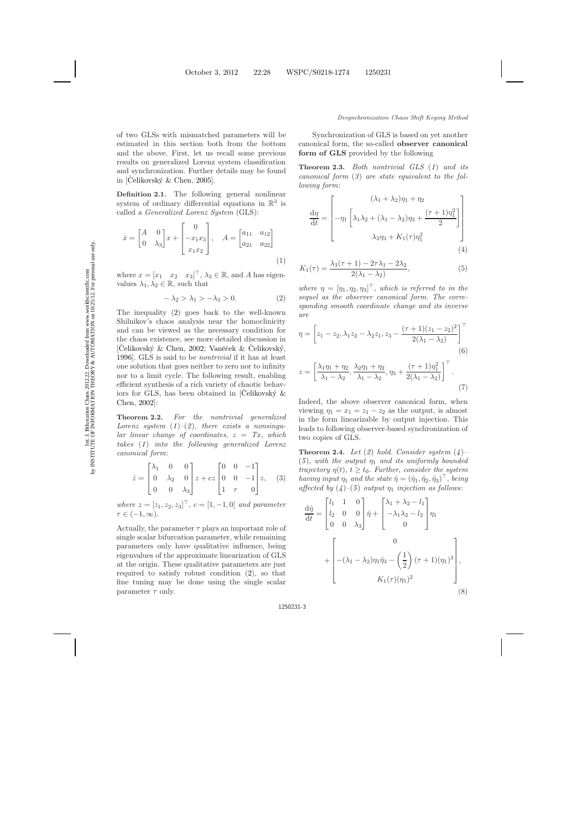of two GLSs with mismatched parameters will be estimated in this section both from the bottom and the above. First, let us recall some previous results on generalized Lorenz system classification and synchronization. Further details may be found in [Celikovský  $&$  Chen, [2005](#page-10-17)].

**Definition 2.1.** The following general nonlinear system of ordinary differential equations in  $\mathbb{R}^3$  is called a *Generalized Lorenz System* (GLS):

<span id="page-2-1"></span>
$$
\dot{x} = \begin{bmatrix} A & 0 \\ 0 & \lambda_3 \end{bmatrix} x + \begin{bmatrix} 0 \\ -x_1 x_3 \\ x_1 x_2 \end{bmatrix}, \quad A = \begin{bmatrix} a_{11} & a_{12} \\ a_{21} & a_{22} \end{bmatrix}
$$
\n(1)

where  $x = [x_1 \quad x_2 \quad x_3]^\top$ ,  $\lambda_3 \in \mathbb{R}$ , and A has eigenvalues  $\lambda_1, \lambda_2 \in \mathbb{R}$ , such that

$$
-\lambda_2 > \lambda_1 > -\lambda_3 > 0. \tag{2}
$$

<span id="page-2-6"></span><span id="page-2-0"></span>The inequality [\(2\)](#page-2-0) goes back to the well-known Shilnikov's chaos analysis near the homoclinicity and can be viewed as the necessary condition for the chaos existence, see more detailed discussion in  $[Celikovs' & Chen, 2002; Vaněček & Celikovs'k, ]$  $[Celikovs' & Chen, 2002; Vaněček & Celikovs'k, ]$  $[Celikovs' & Chen, 2002; Vaněček & Celikovs'k, ]$ [1996](#page-10-19)]. GLS is said to be *nontrivial* if it has at least one solution that goes neither to zero nor to infinity nor to a limit cycle. The following result, enabling efficient synthesis of a rich variety of chaotic behaviors [for GLS, has been obtained in \[](#page-10-18)Celikovský  $\&$ Chen, [2002](#page-10-18)]:

**Theorem 2.2.** *For the nontrivial generalized Lorenz system* (*[1](#page-2-1)*)*–*(*[2](#page-2-0)*), *there exists a nonsingular linear change of coordinates,*  $z = Tx$ , *which takes* (*[1](#page-2-1)*) *into the following generalized Lorenz canonical form*:

$$
\dot{z} = \begin{bmatrix} \lambda_1 & 0 & 0 \\ 0 & \lambda_2 & 0 \\ 0 & 0 & \lambda_3 \end{bmatrix} z + cz \begin{bmatrix} 0 & 0 & -1 \\ 0 & 0 & -1 \\ 1 & \tau & 0 \end{bmatrix} z, \quad (3)
$$

<span id="page-2-2"></span> $where z = [z_1, z_2, z_3]^\top, c = [1, -1, 0] \text{ and parameter}$  $\tau \in (-1,\infty)$ .

Actually, the parameter  $\tau$  plays an important role of single scalar bifurcation parameter, while remaining parameters only have qualitative influence, being eigenvalues of the approximate linearization of GLS at the origin. These qualitative parameters are just required to satisfy robust condition [\(2\)](#page-2-0), so that fine tuning may be done using the single scalar parameter  $\tau$  only.

Synchronization of GLS is based on yet another canonical form, the so-called **observer canonical form of GLS** provided by the following

**Theorem 2.3.** *Both nontrivial GLS* (*[1](#page-2-1)*) *and its canonical form* (*[3](#page-2-2)*) *are state equivalent to the following form*:

<span id="page-2-5"></span><span id="page-2-3"></span>
$$
\frac{d\eta}{dt} = \left[ -\eta_1 \left[ \lambda_1 \lambda_2 + (\lambda_1 - \lambda_2)\eta_3 + \frac{(\tau + 1)\eta_1^2}{2} \right] \right]
$$

$$
\lambda_3 \eta_3 + K_1(\tau)\eta_1^2
$$

$$
(4)
$$

$$
K_1(\tau) = \frac{\lambda_3(\tau + 1) - 2\tau\lambda_1 - 2\lambda_2}{2(\lambda_1 - \lambda_2)},
$$
\n<sup>(5)</sup>

where  $\eta = [\eta_1, \eta_2, \eta_3]^T$ , which is referred to in the *sequel as the observer canonical form. The corresponding smooth coordinate change and its inverse are*

$$
\eta = \left[z_1 - z_2, \lambda_1 z_2 - \lambda_2 z_1, z_3 - \frac{(\tau + 1)(z_1 - z_2)^2}{2(\lambda_1 - \lambda_2)}\right]^\top
$$
\n(6)

$$
z = \left[\frac{\lambda_1\eta_1 + \eta_2}{\lambda_1 - \lambda_2}, \frac{\lambda_2\eta_1 + \eta_2}{\lambda_1 - \lambda_2}, \eta_3 + \frac{(\tau + 1)\eta_1^2}{2(\lambda_1 - \lambda_2)}\right]^\top. \tag{7}
$$

Indeed, the above observer canonical form, when viewing  $\eta_1 = x_1 = z_1 - z_2$  as the output, is almost in the form linearizable by output injection. This leads to following observer-based synchronization of two copies of GLS.

**Theorem 2.4.** *Let* (*[2](#page-2-0)*) *hold. Consider system* (*[4](#page-2-3)*)*–*  $(5)$  $(5)$  $(5)$ , with the output  $\eta_1$  and its uniformly bounded *trajectory*  $\eta(t)$ ,  $t \geq t_0$ *. Further, consider the system having input*  $\eta_1$  *and the state*  $\hat{\eta} = (\hat{\eta}_1, \hat{\eta}_2, \hat{\eta}_3)^\top$ , *being affected by*  $(4)$  $(4)$  $(4)$ – $(5)$  $(5)$  $(5)$  *output*  $\eta_1$  *injection as follows:* 

<span id="page-2-7"></span><span id="page-2-4"></span>
$$
\frac{d\hat{\eta}}{dt} = \begin{bmatrix} l_1 & 1 & 0 \\ l_2 & 0 & 0 \\ 0 & 0 & \lambda_3 \end{bmatrix} \hat{\eta} + \begin{bmatrix} \lambda_1 + \lambda_2 - l_1 \\ -\lambda_1 \lambda_2 - l_2 \\ 0 \end{bmatrix} \eta_1
$$

$$
+ \begin{bmatrix} 0 \\ -(\lambda_1 - \lambda_2)\eta_1 \hat{\eta}_3 - \left(\frac{1}{2}\right)(\tau + 1)(\eta_1)^3 \\ K_1(\tau)(\eta_1)^2 \end{bmatrix},
$$
(8)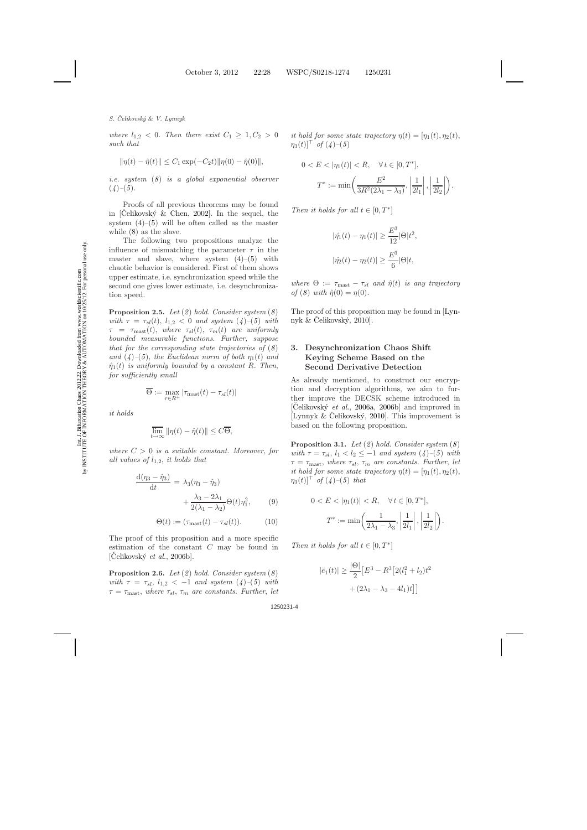#### *S. Celikovsk´ ˇ y& V. Lynnyk*

*where*  $l_{1,2} < 0$ *. Then there exist*  $C_1 \geq 1, C_2 > 0$ *such that*

$$
\|\eta(t) - \hat{\eta}(t)\| \le C_1 \exp(-C_2 t) \|\eta(0) - \hat{\eta}(0)\|,
$$

*i.e. system* (*[8](#page-2-4)*) *is a global exponential observer*  $(4)-(5)$  $(4)-(5)$  $(4)-(5)$  $(4)-(5)$  $(4)-(5)$ .

Proofs of all previous theorems may be found in [Celikovský  $\&$  Chen, [2002](#page-10-12)]. In the sequel, the system  $(4)$ – $(5)$  will be often called as the master while [\(8\)](#page-2-4) as the slave.

The following two propositions analyze the influence of mismatching the parameter  $\tau$  in the master and slave, where system  $(4)$ – $(5)$  with chaotic behavior is considered. First of them shows upper estimate, i.e. synchronization speed while the second one gives lower estimate, i.e. desynchronization speed.

<span id="page-3-3"></span><span id="page-3-1"></span>**Proposition 2.5.** *Let* (*[2](#page-2-6)*) *hold. Consider system* (*[8](#page-2-4)*) *with*  $\tau = \tau_{sl}(t)$ ,  $l_{1,2} < 0$  *and system*  $(4)$  $(4)$  $(4)$ – $(5)$  $(5)$  $(5)$  *with*  $\tau = \tau_{\text{mast}}(t)$ , where  $\tau_{sl}(t)$ ,  $\tau_m(t)$  are uniformly *bounded measurable functions. Further, suppose that for the corresponding state trajectories of* (*[8](#page-2-4)*) *and*  $(4)$  $(4)$  $(4)$ – $(5)$  $(5)$  $(5)$ , *the Euclidean norm of both*  $\eta_1(t)$  *and*  $\hat{\eta}_1(t)$  *is uniformly bounded by a constant R. Then, for sufficiently small*

$$
\overline{\Theta} := \max_{\tau \in R^+} |\tau_{\text{max}}(t) - \tau_{sl}(t)|
$$

*it holds*

$$
\overline{\lim}_{t \to \infty} \|\eta(t) - \hat{\eta}(t)\| \le C\overline{\Theta},
$$

*where*  $C > 0$  *is a suitable constant. Moreover, for all values of* l1,2, *it holds that*

$$
\frac{\mathrm{d}(\eta_3 - \hat{\eta}_3)}{\mathrm{d}t} = \lambda_3(\eta_3 - \hat{\eta}_3) + \frac{\lambda_3 - 2\lambda_1}{2(\lambda_1 - \lambda_2)}\Theta(t)\eta_1^2, \qquad (9)
$$

$$
\Theta(t) := (\tau_{\text{max}}(t) - \tau_{sl}(t)). \tag{10}
$$

The proof of this proposition and a more specific estimation of the constant C may be found in  $[Celikovský et al., 2006b].$  $[Celikovský et al., 2006b].$  $[Celikovský et al., 2006b].$ 

<span id="page-3-4"></span><span id="page-3-2"></span>**Proposition 2.6.** *Let* (*[2](#page-2-6)*) *hold. Consider system* (*[8](#page-2-4)*) *with*  $\tau = \tau_{sl}$ ,  $l_{1,2} < -1$  *and system*  $(4)$  $(4)$  $(4)$ – $(5)$  $(5)$  $(5)$  *with*  $\tau = \tau_{\text{mast}}$ , *where*  $\tau_{sl}$ ,  $\tau_m$  *are constants. Further*, *let*  *it hold for some state trajectory*  $\eta(t)=[\eta_1(t), \eta_2(t)]$  $\eta_3(t)$ <sup> $\mid$ </sup> of ([4](#page-2-5))–([5](#page-2-5))

$$
0 < E < |\eta_1(t)| < R, \quad \forall \, t \in [0, T^*],
$$
\n
$$
T^* := \min\left(\frac{E^2}{3R^2(2\lambda_1 - \lambda_3)}, \left|\frac{1}{2l_1}\right|, \left|\frac{1}{2l_2}\right|\right).
$$

*Then it holds for all*  $t \in [0, T^*]$ 

$$
|\hat{\eta_1}(t) - \eta_1(t)| \ge \frac{E^3}{12} |\Theta| t^2,
$$
  

$$
|\hat{\eta_2}(t) - \eta_2(t)| \ge \frac{E^3}{6} |\Theta| t,
$$

*where*  $\Theta := \tau_{\text{max}} - \tau_{sl}$  *and*  $\hat{\eta}(t)$  *is any trajectory of* (*[8](#page-2-4)*) *with*  $\hat{\eta}(0) = \eta(0)$ *.* 

The proof of this [proposition may be found in \[](#page-10-8)Lynnyk  $& Čelikovský, 2010$ .

# **3. Desynchronization Chaos Shift Keying Scheme Based on the Second Derivative Detection**

As already mentioned, to construct our encryption and decryption algorithms, we aim to further improve the DECSK scheme introduced in [Celikovský *et al.*, [2006a](#page-10-6), [2006b](#page-10-7)] and improved in [Lynnyk & Celikovský, [2010](#page-10-8)]. This improvement is based on the following proposition.

<span id="page-3-5"></span><span id="page-3-0"></span>**Proposition 3.1.** *Let* (*[2](#page-2-6)*) *hold. Consider system* (*[8](#page-2-4)*) *with*  $\tau = \tau_{sl}$ ,  $l_1 < l_2 \leq -1$  *and system* ([4](#page-2-5))–([5](#page-2-5)) *with*  $\tau = \tau_{\text{mast}}$ , *where*  $\tau_{sl}$ ,  $\tau_m$  *are constants. Further*, *let it hold for some state trajectory*  $\eta(t)=[\eta_1(t), \eta_2(t),$  $\eta_3(t)$ <sup> $\mid$ </sup> *of* ([4](#page-2-5))–([5](#page-2-5)) *that* 

$$
0 < E < |\eta_1(t)| < R, \quad \forall \, t \in [0, T^*],
$$
\n
$$
T^* := \min\left(\frac{1}{2\lambda_1 - \lambda_3}, \left|\frac{1}{2l_1}\right|, \left|\frac{1}{2l_2}\right|\right).
$$

*Then it holds for all*  $t \in [0, T^*]$ 

$$
|\ddot{e}_1(t)| \ge \frac{|\Theta|}{2} \Big[ E^3 - R^3 \Big[ 2(l_1^2 + l_2) t^2 + (2\lambda_1 - \lambda_3 - 4l_1) t \Big] \Big]
$$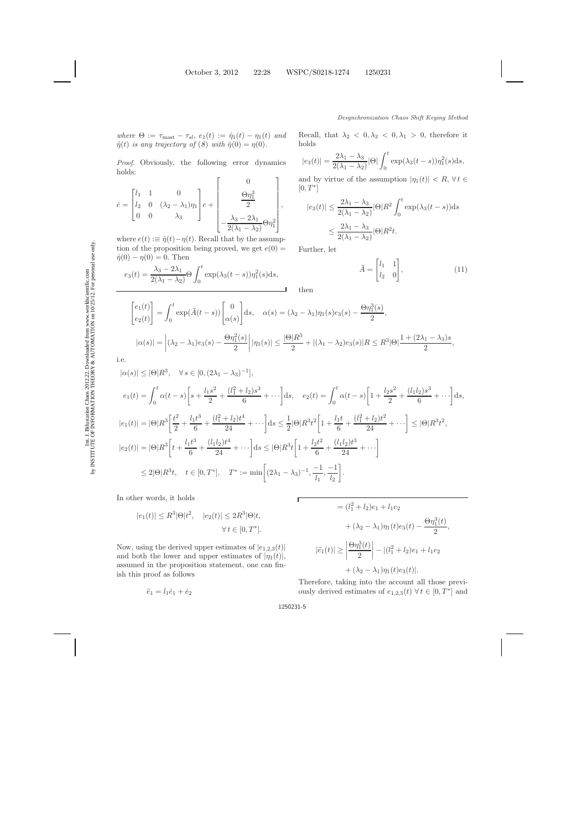*where*  $\Theta := \tau_{\text{max}} - \tau_{sl}$ ,  $e_1(t) := \hat{\eta}_1(t) - \eta_1(t)$  *and*  $\hat{\eta}(t)$  *is any trajectory of* (*[8](#page-2-7)*) *with*  $\hat{\eta}(0) = \eta(0)$ *.* 

*Proof.* Obviously, the following error dynamics holds:

$$
\dot{e} = \begin{bmatrix} l_1 & 1 & 0 \\ l_2 & 0 & (\lambda_2 - \lambda_1)\eta_1 \\ 0 & 0 & \lambda_3 \end{bmatrix} e + \begin{bmatrix} 0 \\ \frac{\Theta \eta_1^3}{2} \\ -\frac{\lambda_3 - 2\lambda_1}{2(\lambda_1 - \lambda_2)} \Theta \eta_1^2 \end{bmatrix},
$$

where  $e(t) := \hat{\eta}(t) - \eta(t)$ . Recall that by the assumption of the proposition being proved, we get  $e(0) =$  $\hat{\eta}(0) - \eta(0) = 0$ . Then

$$
e_3(t) = \frac{\lambda_3 - 2\lambda_1}{2(\lambda_1 - \lambda_2)} \Theta \int_0^t \exp(\lambda_3(t - s)) \eta_1^2(s) \mathrm{d} s,
$$

Recall, that  $\lambda_2 < 0, \lambda_3 < 0, \lambda_1 > 0$ , therefore it holds

$$
|e_3(t)| = \frac{2\lambda_1 - \lambda_3}{2(\lambda_1 - \lambda_2)} |\Theta| \int_0^t \exp(\lambda_3(t - s)) \eta_1^2(s) \mathrm{d} s,
$$

and by virtue of the assumption  $|\eta_1(t)| < R$ ,  $\forall t \in$  $[0, T^*]$ 

$$
|e_3(t)| \le \frac{2\lambda_1 - \lambda_3}{2(\lambda_1 - \lambda_2)} |\Theta| R^2 \int_0^t \exp(\lambda_3(t - s)) ds
$$
  

$$
\le \frac{2\lambda_1 - \lambda_3}{2(\lambda_1 - \lambda_2)} |\Theta| R^2 t.
$$

Further, let

$$
\tilde{A} = \begin{bmatrix} l_1 & 1 \\ l_2 & 0 \end{bmatrix},\tag{11}
$$

then

$$
\begin{bmatrix} e_1(t) \\ e_2(t) \end{bmatrix} = \int_0^t \exp(\tilde{A}(t-s)) \begin{bmatrix} 0 \\ \alpha(s) \end{bmatrix} ds, \quad \alpha(s) = (\lambda_2 - \lambda_1)\eta_1(s)e_3(s) - \frac{\Theta \eta_1^3(s)}{2},
$$

$$
|\alpha(s)| = |(\lambda_2 - \lambda_1)e_3(s) - \frac{\Theta \eta_1^2(s)}{2}| |\eta_1(s)| \le \frac{|\Theta|R^3}{2} + |(\lambda_1 - \lambda_2)e_3(s)|R \le R^3 |\Theta| \frac{1 + (2\lambda_1 - \lambda_3)s}{2},
$$
i.e.

┚

$$
|\alpha(s)| \le |\Theta|R^3, \quad \forall s \in [0, (2\lambda_1 - \lambda_3)^{-1}],
$$
  
\n
$$
e_1(t) = \int_0^t \alpha(t-s) \left[ s + \frac{l_1 s^2}{2} + \frac{(l_1^2 + l_2) s^3}{6} + \cdots \right] ds, \quad e_2(t) = \int_0^t \alpha(t-s) \left[ 1 + \frac{l_2 s^2}{2} + \frac{(l_1 l_2) s^3}{6} + \cdots \right] ds,
$$
  
\n
$$
|e_1(t)| = |\Theta|R^3 \left[ \frac{t^2}{2} + \frac{l_1 t^3}{6} + \frac{(l_1^2 + l_2) t^4}{24} + \cdots \right] ds \le \frac{1}{2} |\Theta|R^3 t^2 \left[ 1 + \frac{l_1 t}{6} + \frac{(l_1^2 + l_2) t^2}{24} + \cdots \right] \le |\Theta|R^3 t^2,
$$
  
\n
$$
|e_2(t)| = |\Theta|R^3 \left[ t + \frac{l_1 t^3}{6} + \frac{(l_1 l_2) t^4}{24} + \cdots \right] ds \le |\Theta|R^3 t \left[ 1 + \frac{l_2 t^2}{6} + \frac{(l_1 l_2) t^3}{24} + \cdots \right]
$$
  
\n
$$
\le 2 |\Theta|R^3 t, \quad t \in [0, T^*], \quad T^* := \min \left[ (2\lambda_1 - \lambda_3)^{-1}, \frac{-1}{l_1}, \frac{-1}{l_2} \right].
$$

Г

In other words, it holds

$$
|e_1(t)| \le R^3 |\Theta| t^2, \quad |e_2(t)| \le 2R^3 |\Theta| t,
$$
  

$$
\forall t \in [0, T^*].
$$

Now, using the derived upper estimates of  $|e_{1,2,3}(t)|$ and both the lower and upper estimates of  $|\eta_1(t)|$ , assumed in the proposition statement, one can finish this proof as follows

$$
= (l_1^2 + l_2)e_1 + l_1e_2
$$
  
+  $(\lambda_2 - \lambda_1)\eta_1(t)e_3(t) - \frac{\Theta \eta_1^3(t)}{2},$   

$$
|\ddot{e}_1(t)| \ge \left| \frac{\Theta \eta_1^3(t)}{2} \right| - |(l_1^2 + l_2)e_1 + l_1e_2
$$
  
+  $(\lambda_2 - \lambda_1)\eta_1(t)e_3(t)|.$ 

 $\ddot{e}_1 = l_1 \dot{e}_1 + \dot{e}_2$ 

Therefore, taking into the account all those previously derived estimates of  $e_{1,2,3}(t)$   $\forall t \in [0, T^*]$  and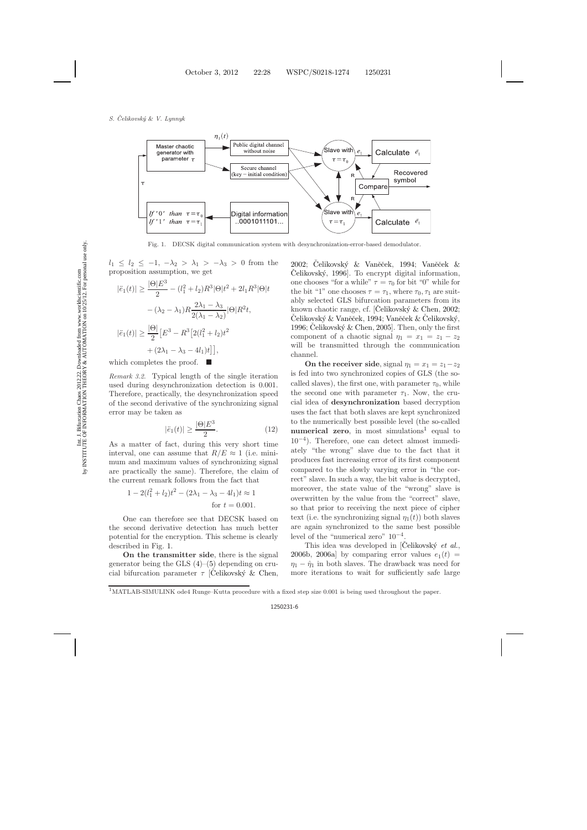

Fig. 1. DECSK digital communication system with desynchronization-error-based demodulator.

<span id="page-5-0"></span> $l_1 \leq l_2 \leq -1, -\lambda_2 > \lambda_1 > -\lambda_3 > 0$  from the proposition assumption, we get

$$
|\ddot{e}_1(t)| \ge \frac{|\Theta|E^3}{2} - (l_1^2 + l_2)R^3|\Theta|t^2 + 2l_1R^3|\Theta|t^2
$$

$$
- (\lambda_2 - \lambda_1)R\frac{2\lambda_1 - \lambda_3}{2(\lambda_1 - \lambda_2)}|\Theta|R^2t,
$$

$$
|\ddot{e}_1(t)| \ge \frac{|\Theta|}{2}[E^3 - R^3[2(l_1^2 + l_2)t^2
$$

$$
+ (2\lambda_1 - \lambda_3 - 4l_1)t]],
$$

which completes the proof.

*Remark 3.2.* Typical length of the single iteration used during desynchronization detection is 0.001. Therefore, practically, the desynchronization speed of the second derivative of the synchronizing signal error may be taken as

$$
|\ddot{e}_1(t)| \ge \frac{|\Theta|E^3}{2}.\tag{12}
$$

As a matter of fact, during this very short time interval, one can assume that  $R/E \approx 1$  (i.e. minimum and maximum values of synchronizing signal are practically the same). Therefore, the claim of the current remark follows from the fact that

$$
1 - 2(l_1^2 + l_2)t^2 - (2\lambda_1 - \lambda_3 - 4l_1)t \approx 1
$$
  
for  $t = 0.001$ .

One can therefore see that DECSK based on the second derivative detection has much better potential for the encryption. This scheme is clearly described in Fig. [1.](#page-5-0)

**On the transmitter side**, there is the signal generator being the GLS  $(4)$ – $(5)$  depending on crucial bifurcation parameter  $\tau$  [Celikovský & Chen, [2002;](#page-10-12) Čelikovský & Vaněček[,](#page-10-10) [1994;](#page-10-9) Vaněček & Celikovský, 1996. To encrypt digital information, one chooses "for a while"  $\tau = \tau_0$  for bit "0" while for the bit "1" one chooses  $\tau = \tau_1$ , where  $\tau_0$ ,  $\tau_1$  are suitably selected GLS bifurcation parameters from its known chaotic range, cf. [Celikovský  $&$  Chen, [2002](#page-10-12); Čelikovský & Vaněček, [1994](#page-10-9); Vaněček & Čelikovský, [1996;](#page-10-10) Celikovský  $\&$  Chen, [2005\]](#page-10-11). Then, only the first component of a chaotic signal  $\eta_1 = x_1 = z_1 - z_2$ will be transmitted through the communication channel.

**On the receiver side**, signal  $\eta_1 = x_1 = z_1 - z_2$ is fed into two synchronized copies of GLS (the socalled slaves), the first one, with parameter  $\tau_0$ , while the second one with parameter  $\tau_1$ . Now, the crucial idea of **desynchronization** based decryption uses the fact that both slaves are kept synchronized to the numerically best possible level (the so-called **numerical zero**, in most simulations<sup>[1](#page-5-1)</sup> equal to 10−4). Therefore, one can detect almost immediately "the wrong" slave due to the fact that it produces fast increasing error of its first component compared to the slowly varying error in "the correct" slave. In such a way, the bit value is decrypted, moreover, the state value of the "wrong" slave is overwritten by the value from the "correct" slave, so that prior to receiving the next piece of cipher text (i.e. the synchronizing signal  $\eta_1(t)$ ) both slaves are again synchronized to the same best possible level of the "numerical zero" 10−4.

This idea was developed in [Celikovský *et al.*, [2006b](#page-10-7), [2006a\]](#page-10-6) by comparing error values  $e_1(t)$  =  $\eta_1 - \hat{\eta}_1$  in both slaves. The drawback was need for more iterations to wait for sufficiently safe large

<span id="page-5-1"></span><sup>1</sup>MATLAB-SIMULINK ode4 Runge–Kutta procedure with a fixed step size 0.001 is being used throughout the paper.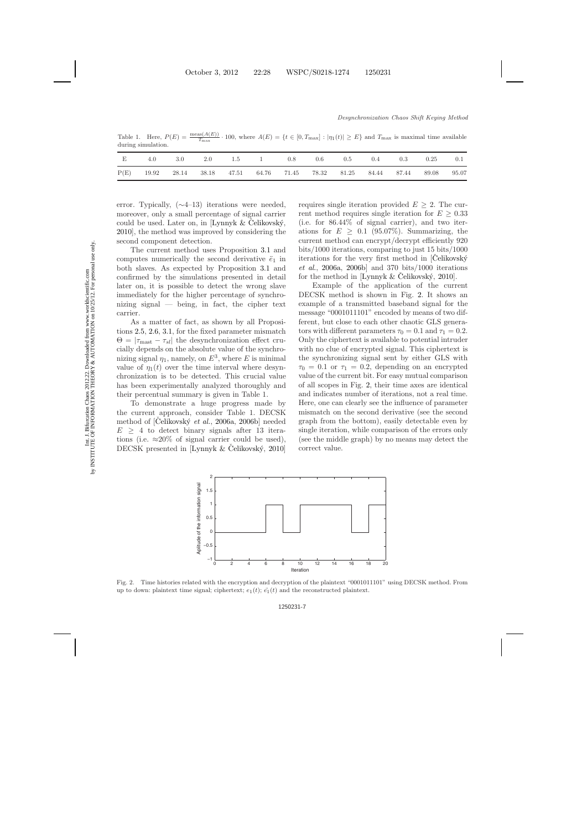Table 1. Here,  $P(E) = \frac{\text{meas}(A(E))}{T_{\text{max}}} \cdot 100$ , where  $A(E) = \{t \in [0, T_{\text{max}}] : |\eta_1(t)| \ge E\}$  and  $T_{\text{max}}$  is maximal time available during simulation.

| E    |  |  |  |  |  | $4.0$ $3.0$ $2.0$ $1.5$ $1$ $0.8$ $0.6$ $0.5$ $0.4$ $0.3$ $0.25$ $0.1$  |  |
|------|--|--|--|--|--|-------------------------------------------------------------------------|--|
| P(E) |  |  |  |  |  | 19.92 28.14 38.18 47.51 64.76 71.45 78.32 81.25 84.44 87.44 89.08 95.07 |  |

error. Typically, (∼4–13) iterations were needed, moreover, only a small percentage of signal carrier could be used. Later on, in [Lynnyk  $&$  Celikovský, [2010](#page-10-20)], the method was improved by considering the second component detection.

The current method uses Proposition [3.1](#page-3-0) and computes numerically the second derivative  $\ddot{e}_1$  in both slaves. As expected by Proposition [3.1](#page-3-0) and confirmed by the simulations presented in detail later on, it is possible to detect the wrong slave immediately for the higher percentage of synchronizing signal — being, in fact, the cipher text carrier.

As a matter of fact, as shown by all Propositions [2.5,](#page-3-1) [2.6,](#page-3-2) [3.1,](#page-3-0) for the fixed parameter mismatch  $\Theta = |\tau_{\text{max}} - \tau_{sl}|$  the desynchronization effect crucially depends on the absolute value of the synchronizing signal  $\eta_1$ , namely, on  $E^3$ , where E is minimal value of  $\eta_1(t)$  over the time interval where desynchronization is to be detected. This crucial value has been experimentally analyzed thoroughly and their percentual summary is given in Table 1.

To demonstrate a huge progress made by the current approach, consider Table 1. DECSK method of [Celikovský *et al.*, [2006a](#page-10-21), [2006b](#page-10-22)] needed  $E \geq 4$  to detect binary signals after 13 iterations (i.e.  $\approx 20\%$  of signal carrier could be used). DECSK presented in [Lynnyk  $&$  Celikovský, [2010](#page-10-20)]

1.5

2

requires single iteration provided  $E \geq 2$ . The current method requires single iteration for  $E \geq 0.33$ (i.e. for 86.44% of signal carrier), and two iterations for  $E \geq 0.1$  (95.07%). Summarizing, the current method can encrypt/decrypt efficiently 920 bits/1000 iterations, comparing to just 15 bits/1000  $\alpha$  itera[tions for the very first method in \[](#page-10-21)Celikovský] *et al.*, [2006a](#page-10-21), [2006b](#page-10-22)] and 370 bits/1000 iterations for the method in [Lynnyk  $& Čelikovský, 2010$  $& Čelikovský, 2010$ ].

Example of the application of the current DECSK method is shown in Fig. [2.](#page-6-0) It shows an example of a transmitted baseband signal for the message "0001011101" encoded by means of two different, but close to each other chaotic GLS generators with different parameters  $\tau_0 = 0.1$  and  $\tau_1 = 0.2$ . Only the ciphertext is available to potential intruder with no clue of encrypted signal. This ciphertext is the synchronizing signal sent by either GLS with  $\tau_0 = 0.1$  or  $\tau_1 = 0.2$ , depending on an encrypted value of the current bit. For easy mutual comparison of all scopes in Fig. [2,](#page-6-0) their time axes are identical and indicates number of iterations, not a real time. Here, one can clearly see the influence of parameter mismatch on the second derivative (see the second graph from the bottom), easily detectable even by single iteration, while comparison of the errors only (see the middle graph) by no means may detect the correct value.



<span id="page-6-0"></span>Fig. 2. Time histories related with the encryption and decryption of the plaintext "0001011101" using DECSK method. From up to down: plaintext time signal; ciphertext;  $e_1(t)$ ;  $\ddot{e_1}(t)$  and the reconstructed plaintext.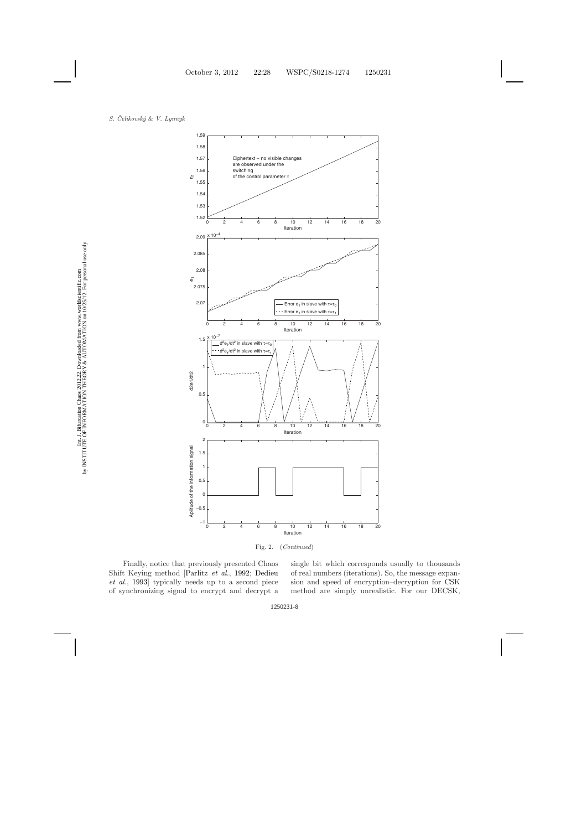

Fig. 2. (*Continued*)

Finally, notice that previously presented Chaos Shift [Keying method](#page-10-24) [\[Parlitz](#page-10-23) *et al.*, [1992](#page-10-23); Dedieu *et al.*, [1993](#page-10-24)] typically needs up to a second piece of synchronizing signal to encrypt and decrypt a single bit which corresponds usually to thousands of real numbers (iterations). So, the message expansion and speed of encryption–decryption for CSK method are simply unrealistic. For our DECSK,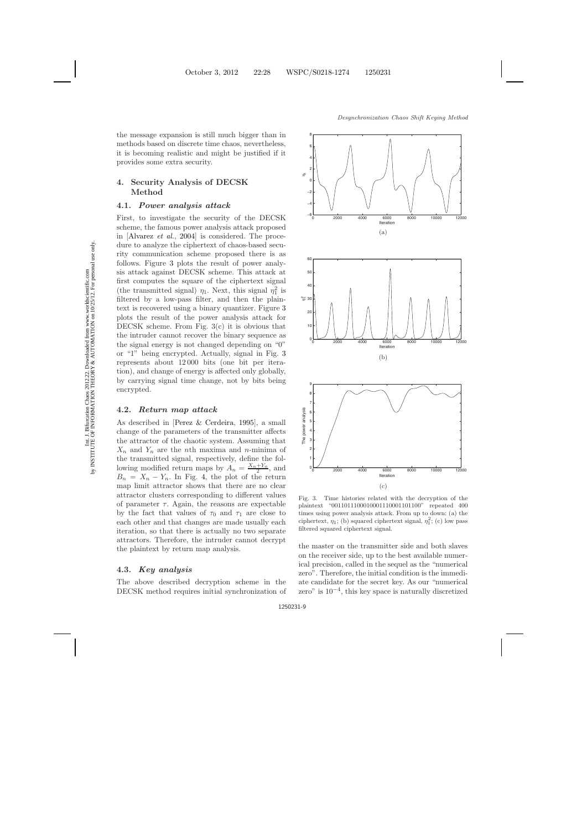the message expansion is still much bigger than in methods based on discrete time chaos, nevertheless, it is becoming realistic and might be justified if it provides some extra security.

## **4. Security Analysis of DECSK Method**

## **4.1.** *Power analysis attack*

First, to investigate the security of the DECSK scheme, the famous power analysis attack proposed in [\[Alvarez](#page-9-2) *et al.*, [2004](#page-9-2)] is considered. The procedure to analyze the ciphertext of chaos-based security communication scheme proposed there is as follows. Figure [3](#page-8-0) plots the result of power analysis attack against DECSK scheme. This attack at first computes the square of the ciphertext signal (the transmitted signal)  $\eta_1$ . Next, this signal  $\eta_1^2$  is filtered by a low-pass filter, and then the plaintext is recovered using a binary quantizer. Figure [3](#page-8-0) plots the result of the power analysis attack for DECSK scheme. From Fig. 3(c) it is obvious that the intruder cannot recover the binary sequence as the signal energy is not changed depending on "0" or "1" being encrypted. Actually, signal in Fig. [3](#page-8-0) represents about 12 000 bits (one bit per iteration), and change of energy is affected only globally, by carrying signal time change, not by bits being encrypted.

### **4.2.** *Return map attack*

As described in [\[Perez & Cerdeira](#page-10-25), [1995](#page-10-25)], a small change of the parameters of the transmitter affects the attractor of the chaotic system. Assuming that  $X_n$  and  $Y_n$  are the nth maxima and n-minima of the transmitted signal, respectively, define the following modified return maps by  $A_n = \frac{X_n + Y_n}{2}$ , and  $B_n = X_n - Y_n$ . In Fig. [4,](#page-9-3) the plot of the return map limit attractor shows that there are no clear attractor clusters corresponding to different values of parameter  $\tau$ . Again, the reasons are expectable by the fact that values of  $\tau_0$  and  $\tau_1$  are close to each other and that changes are made usually each iteration, so that there is actually no two separate attractors. Therefore, the intruder cannot decrypt the plaintext by return map analysis.

### **4.3.** *Key analysis*

The above described decryption scheme in the DECSK method requires initial synchronization of



<span id="page-8-0"></span>Fig. 3. Time histories related with the decryption of the plaintext "0011011100010001110001101100" repeated 400 times using power analysis attack. From up to down: (a) the ciphertext,  $\eta_1$ ; (b) squared ciphertext signal,  $\eta_1^2$ ; (c) low pass filtered squared ciphertext signal.

the master on the transmitter side and both slaves on the receiver side, up to the best available numerical precision, called in the sequel as the "numerical zero". Therefore, the initial condition is the immediate candidate for the secret key. As our "numerical zero" is  $10^{-4}$ , this key space is naturally discretized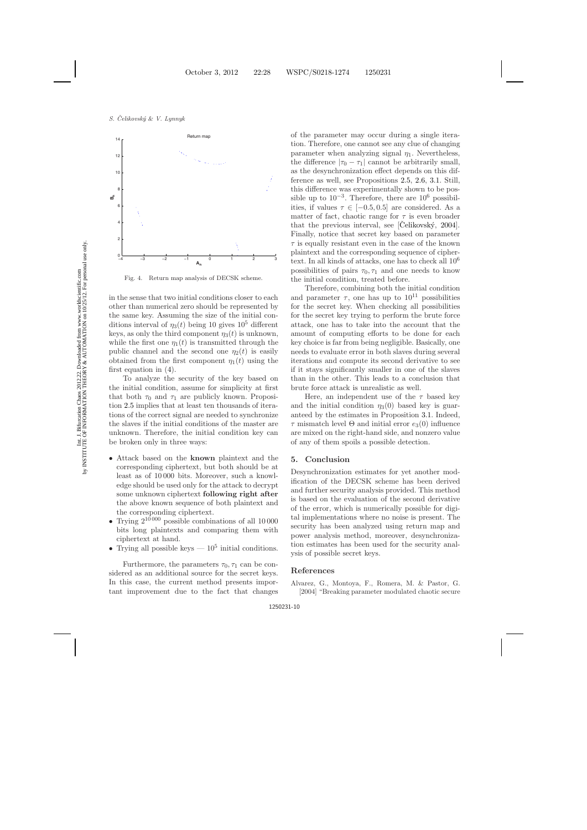

Fig. 4. Return map analysis of DECSK scheme.

<span id="page-9-3"></span>in the sense that two initial conditions closer to each other than numerical zero should be represented by the same key. Assuming the size of the initial conditions interval of  $\eta_3(t)$  being 10 gives  $10^5$  different keys, as only the third component  $\eta_3(t)$  is unknown, while the first one  $\eta_1(t)$  is transmitted through the public channel and the second one  $\eta_2(t)$  is easily obtained from the first component  $\eta_1(t)$  using the first equation in [\(4\)](#page-2-5).

To analyze the security of the key based on the initial condition, assume for simplicity at first that both  $\tau_0$  and  $\tau_1$  are publicly known. Proposition [2.5](#page-3-3) implies that at least ten thousands of iterations of the correct signal are needed to synchronize the slaves if the initial conditions of the master are unknown. Therefore, the initial condition key can be broken only in three ways:

- Attack based on the **known** plaintext and the corresponding ciphertext, but both should be at least as of 10 000 bits. Moreover, such a knowledge should be used only for the attack to decrypt some unknown ciphertext **following right after** the above known sequence of both plaintext and the corresponding ciphertext.
- Trying  $2^{10\,000}$  possible combinations of all 10000 bits long plaintexts and comparing them with ciphertext at hand.
- $\bullet\,$  Trying all possible keys  $10^5$  initial conditions.

Furthermore, the parameters  $\tau_0$ ,  $\tau_1$  can be considered as an additional source for the secret keys. In this case, the current method presents important improvement due to the fact that changes of the parameter may occur during a single iteration. Therefore, one cannot see any clue of changing parameter when analyzing signal  $\eta_1$ . Nevertheless, the difference  $|\tau_0 - \tau_1|$  cannot be arbitrarily small, as the desynchronization effect depends on this difference as well, see Propositions [2.5,](#page-3-3) [2.6,](#page-3-4) [3.1.](#page-3-5) Still, this difference was experimentally shown to be possible up to  $10^{-3}$ . Therefore, there are  $10^6$  possibilities, if values  $\tau \in [-0.5, 0.5]$  are considered. As a matter of fact, chaotic range for  $\tau$  is even broader that the previous interval, see [Celikovský, [2004](#page-10-26)]. Finally, notice that secret key based on parameter  $\tau$  is equally resistant even in the case of the known plaintext and the corresponding sequence of ciphertext. In all kinds of attacks, one has to check all 10<sup>6</sup> possibilities of pairs  $\tau_0, \tau_1$  and one needs to know the initial condition, treated before.

Therefore, combining both the initial condition and parameter  $\tau$ , one has up to  $10^{11}$  possibilities for the secret key. When checking all possibilities for the secret key trying to perform the brute force attack, one has to take into the account that the amount of computing efforts to be done for each key choice is far from being negligible. Basically, one needs to evaluate error in both slaves during several iterations and compute its second derivative to see if it stays significantly smaller in one of the slaves than in the other. This leads to a conclusion that brute force attack is unrealistic as well.

Here, an independent use of the  $\tau$  based key and the initial condition  $\eta_3(0)$  based key is guaranteed by the estimates in Proposition [3.1.](#page-3-5) Indeed,  $\tau$  mismatch level  $\Theta$  and initial error  $e_3(0)$  influence are mixed on the right-hand side, and nonzero value of any of them spoils a possible detection.

## **5. Conclusion**

Desynchronization estimates for yet another modification of the DECSK scheme has been derived and further security analysis provided. This method is based on the evaluation of the second derivative of the error, which is numerically possible for digital implementations where no noise is present. The security has been analyzed using return map and power analysis method, moreover, desynchronization estimates has been used for the security analysis of possible secret keys.

## <span id="page-9-0"></span>**References**

<span id="page-9-2"></span><span id="page-9-1"></span>Alvarez, G., Montoya, F., Romera, M. & Pastor, G. [2004] "Breaking parameter modulated chaotic secure